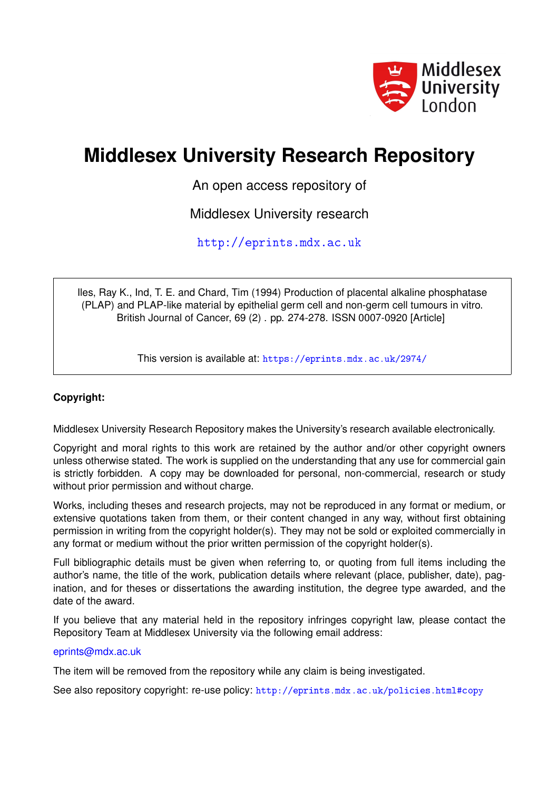

# **Middlesex University Research Repository**

An open access repository of

Middlesex University research

<http://eprints.mdx.ac.uk>

Iles, Ray K., Ind, T. E. and Chard, Tim (1994) Production of placental alkaline phosphatase (PLAP) and PLAP-like material by epithelial germ cell and non-germ cell tumours in vitro. British Journal of Cancer, 69 (2) . pp. 274-278. ISSN 0007-0920 [Article]

This version is available at: <https://eprints.mdx.ac.uk/2974/>

# **Copyright:**

Middlesex University Research Repository makes the University's research available electronically.

Copyright and moral rights to this work are retained by the author and/or other copyright owners unless otherwise stated. The work is supplied on the understanding that any use for commercial gain is strictly forbidden. A copy may be downloaded for personal, non-commercial, research or study without prior permission and without charge.

Works, including theses and research projects, may not be reproduced in any format or medium, or extensive quotations taken from them, or their content changed in any way, without first obtaining permission in writing from the copyright holder(s). They may not be sold or exploited commercially in any format or medium without the prior written permission of the copyright holder(s).

Full bibliographic details must be given when referring to, or quoting from full items including the author's name, the title of the work, publication details where relevant (place, publisher, date), pagination, and for theses or dissertations the awarding institution, the degree type awarded, and the date of the award.

If you believe that any material held in the repository infringes copyright law, please contact the Repository Team at Middlesex University via the following email address:

## [eprints@mdx.ac.uk](mailto:eprints@mdx.ac.uk)

The item will be removed from the repository while any claim is being investigated.

See also repository copyright: re-use policy: <http://eprints.mdx.ac.uk/policies.html#copy>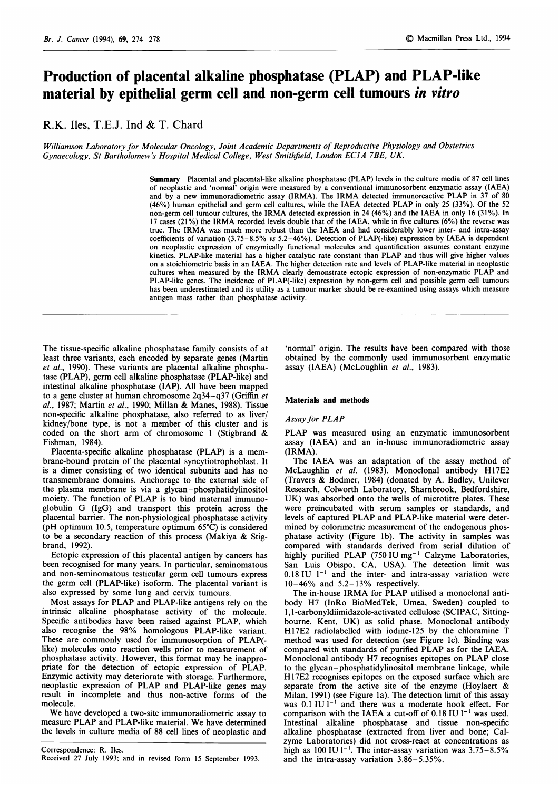# Production of placental alkaline phosphatase (PLAP) and PLAP-like material by epithelial germ cell and non-germ cell tumours in vitro

### R.K. Iles, T.E.J. Ind & T. Chard

Williamson Laboratory for Molecular Oncology, Joint Academic Departments of Reproductive Physiology and Obstetrics Gynaecology, St Bartholomew's Hospital Medical College, West Smithfield, London ECIA 7BE, UK.

> Summary Placental and placental-like alkaline phosphatase (PLAP) levels in the culture media of 87 cell lines of neoplastic and 'normal' origin were measured by a conventional immunosorbent enzymatic assay (IAEA) and by <sup>a</sup> new immunoradiometric assay (IRMA). The IRMA detected immunoreactive PLAP in <sup>37</sup> of <sup>80</sup> (46%) human epithelial and germ cell cultures, while the IAEA detected PLAP in only 25 (33%). Of the 52 non-germ cell tumour cultures, the IRMA detected expression in <sup>24</sup> (46%) and the IAEA in only <sup>16</sup> (31%). In <sup>17</sup> cases (21 %) the IRMA recorded levels double that of the IAEA, while in five cultures (6%) the reverse was true. The IRMA was much more robust than the IAEA and had considerably lower inter- and intra-assay coefficients of variation (3.75-8.5% vs 5.2-46%). Detection of PLAP(-like) expression by IAEA is dependent on neoplastic expression of enzymically functional molecules and quantification assumes constant enzyme kinetics. PLAP-like material has a higher catalytic rate constant than PLAP and thus will give higher values on a stoichiometric basis in an IAEA. The higher detection rate and levels of PLAP-like material in neoplastic cultures when measured by the IRMA clearly demonstrate ectopic expression of non-enzymatic PLAP and PLAP-like genes. The incidence of PLAP(-like) expression by non-germ cell and possible germ cell tumours has been underestimated and its utility as a tumour marker should be re-examined using assays which measure antigen mass rather than phosphatase activity.

The tissue-specific alkaline phosphatase family consists of at least three variants, each encoded by separate genes (Martin et al., 1990). These variants are placental alkaline phosphatase (PLAP), germ cell alkaline phosphatase (PLAP-like) and intestinal alkaline phosphatase (IAP). All have been mapped to a gene cluster at human chromosome 2q34-q37 (Griffin et al., 1987; Martin et al., 1990; Millan & Manes, 1988). Tissue non-specific alkaline phosphatase, also referred to as liver/ kidney/bone type, is not a member of this cluster and is coded on the short arm of chromosome <sup>1</sup> (Stigbrand & Fishman, 1984).

Placenta-specific alkaline phosphatase (PLAP) is a membrane-bound protein of the placental syncytiotrophoblast. It is a dimer consisting of two identical subunits and has no transmembrane domains. Anchorage to the external side of the plasma membrane is via a glycan-phosphatidylinositol moiety. The function of PLAP is to bind maternal immunoglobulin G (IgG) and transport this protein across the placental barrier. The non-physiological phosphatase activity (pH optimum 10.5, temperature optimum 65°C) is considered to be <sup>a</sup> secondary reaction of this process (Makiya & Stigbrand, 1992).

Ectopic expression of this placental antigen by cancers has been recognised for many years. In particular, seminomatous and non-seminomatous testicular germ cell tumours express the germ cell (PLAP-like) isoform. The placental variant is also expressed by some lung and cervix tumours.

Most assays for PLAP and PLAP-like antigens rely on the intrinsic alkaline phosphatase activity of the molecule. Specific antibodies have been raised against PLAP, which also recognise the 98% homologous PLAP-like variant. These are commonly used for immunosorption of PLAP( like) molecules onto reaction wells prior to measurement of phosphatase activity. However, this format may be inappropriate for the detection of ectopic expression of PLAP. Enzymic activity may deteriorate with storage. Furthermore, neoplastic expression of PLAP and PLAP-like genes may result in incomplete and thus non-active forms of the molecule.

We have developed <sup>a</sup> two-site immunoradiometric assay to measure PLAP and PLAP-like material. We have determined the levels in culture media of 88 cell lines of neoplastic and

Received 27 July 1993; and in revised form 15 September 1993.

'normal' origin. The results have been compared with those obtained by the commonly used immunosorbent enzymatic assay (IAEA) (McLoughlin et al., 1983).

#### Materials and methods

#### Assay for PLAP

PLAP was measured using an enzymatic immunosorbent assay (IAEA) and an in-house immunoradiometric assay (IRMA).

The IAEA was an adaptation of the assay method of McLaughlin et al. (1983). Monoclonal antibody H17E2 (Travers & Bodmer, 1984) (donated by A. Badley, Unilever Research, Colworth Laboratory, Sharnbrook, Bedfordshire, UK) was absorbed onto the wells of microtitre plates. These were preincubated with serum samples or standards, and levels of captured PLAP and PLAP-like material were determined by colorimetric measurement of the endogenous phosphatase activity (Figure lb). The activity in samples was compared with standards derived from serial dilution of highly purified PLAP  $(750 \text{ IU mg}^{-1} \text{ Calzyme}$  Laboratories, San Luis Obispo, CA, USA). The detection limit was  $0.18$  IU  $1^{-1}$  and the inter- and intra-assay variation were 10-46% and 5.2-13% respectively.

The in-house IRMA for PLAP utilised <sup>a</sup> monoclonal antibody H7 (InRo BioMedTek, Umea, Sweden) coupled to 1,l-carbonyldiimidazole-activated cellulose (SCIPAC, Sittingbourne, Kent, UK) as solid phase. Monoclonal antibody H17E2 radiolabelled with iodine-125 by the chloramine T method was used for detection (see Figure lc). Binding was compared with standards of purified PLAP as for the IAEA. Monoclonal antibody H7 recognises epitopes on PLAP close to the glycan-phosphatidylinositol membrane linkage, while H17E2 recognises epitopes on the exposed surface which are separate from the active site of the enzyme (Hoylaert & Milan, 1991) (see Figure la). The detection limit of this assay was  $0.1$  IU  $1^{-1}$  and there was a moderate hook effect. For comparison with the IAEA a cut-off of 0.18 IU  $l^{-1}$  was used. Intestinal alkaline phosphatase and tissue non-specific alkaline phosphatase (extracted from liver and bone; Calzyme Laboratories) did not cross-react at concentrations as high as  $100$  IU  $1^{-1}$ . The inter-assay variation was  $3.75-8.5%$ and the intra-assay variation 3.86-5.35%.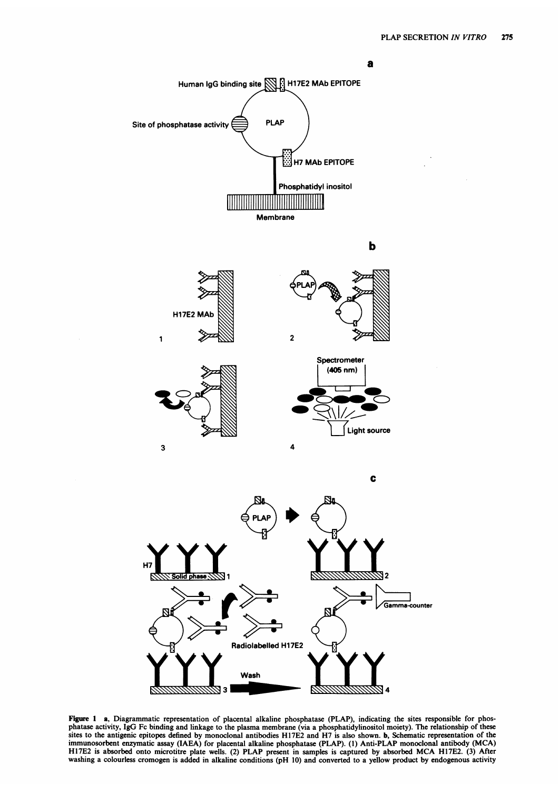

Figure 1 a, Diagrammatic representation of placental alkaline phosphatase (PLAP), indicating the sites responsible for phosphatase activity, IgG Fc binding and linkage to the plasma membrane (via a phosphatidylinositol moiety). The relationship of these sites to the antigenic epitopes defined by monoclonal antibodies H17E2 and H7 is also shown. b, Schematic representation of the immunosorbent enzymatic assay (IAEA) for placental alkaline phosphatase (PLAP). (1) Anti-PLAP monoclonal antibody (MCA) H17E2 is absorbed onto microtitre plate wells. (2) PLAP present in samples is captured by absorbed MCA H17E2. (3) After<br>washing a colourless cromogen is added in alkaline conditions (pH 10) and converted to a yellow produc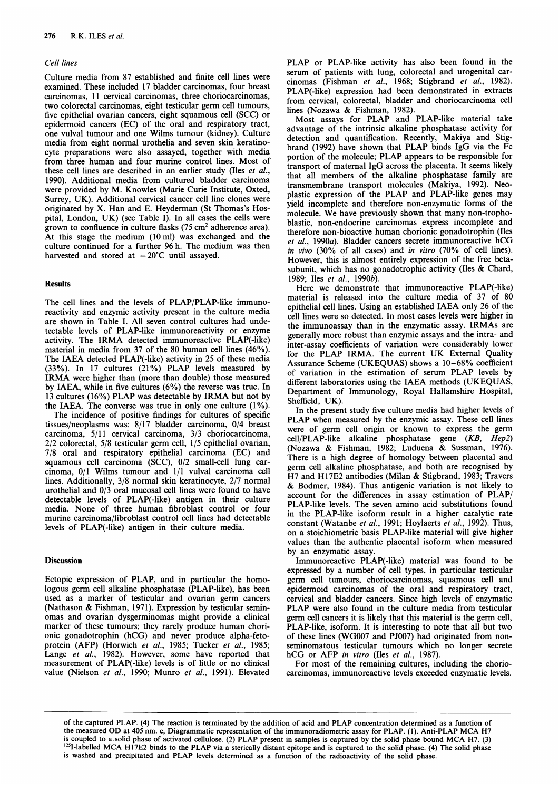#### Cell lines

Culture media from 87 established and finite cell lines were examined. These included 17 bladder carcinomas, four breast carcinomas, 11 cervical carcinomas, three choriocarcinomas, two colorectal carcinomas, eight testicular germ cell tumours, five epithelial ovarian cancers, eight squamous cell (SCC) or epidermoid cancers (EC) of the oral and respiratory tract, one vulval tumour and one Wilms tumour (kidney). Culture media from eight normal urothelia and seven skin keratinocyte preparations were also assayed, together with media from three human and four murine control lines. Most of these cell lines are described in an earlier study (Iles et al., 1990). Additional media from cultured bladder carcinoma were provided by M. Knowles (Marie Curie Institute, Oxted, Surrey, UK). Additional cervical cancer cell line clones were originated by X. Han and E. Heyderman (St Thomas's Hospital, London, UK) (see Table I). In all cases the cells were grown to confluence in culture flasks (75 cm<sup>2</sup> adherence area). At this stage the medium (10 ml) was exchanged and the culture continued for a further 96 h. The medium was then harvested and stored at  $-20^{\circ}$ C until assayed.

#### **Results**

The cell lines and the levels of PLAP/PLAP-like immunoreactivity and enzymic activity present in the culture media are shown in Table I. All seven control cultures had undetectable levels of PLAP-like immunoreactivity or enzyme activity. The IRMA detected immunoreactive PLAP(-like) material in media from 37 of the 80 human cell lines (46%). The IAEA detected PLAP(-like) activity in 25 of these media (33%). In <sup>17</sup> cultures (21%) PLAP levels measured by IRMA were higher than (more than double) those measured by IAEA, while in five cultures (6%) the reverse was true. In <sup>13</sup> cultures (16%) PLAP was detectable by IRMA but not by the IAEA. The converse was true in only one culture (1%). The incidence of positive findings for cultures of specific tissues/neoplasms was: 8/17 bladder carcinoma, 0/4 breast carcinoma, 5/11 cervical carcinoma, 3/3 choriocarcinoma, 2/2 colorectal, 5/8 testicular germ cell, 1/5 epithelial ovarian, 7/8 oral and respiratory epithelial carcinoma (EC) and squamous cell carcinoma (SCC), 0/2 small-cell lung carcinoma, 0/1 Wilms tumour and 1/1 vulval carcinoma cell lines. Additionally, 3/8 normal skin keratinocyte, 2/7 normal urothelial and 0/3 oral mucosal cell lines were found to have detectable levels of PLAP(-like) antigen in their culture media. None of three human fibroblast control or four murine carcinoma/fibroblast control cell lines had detectable levels of PLAP(-like) antigen in their culture media.

#### **Discussion**

Ectopic expression of PLAP, and in particular the homologous germ cell alkaline phosphatase (PLAP-like), has been used as a marker of testicular and ovarian germ cancers (Nathason & Fishman, 1971). Expression by testicular seminomas and ovarian dysgerminomas might provide a clinical marker of these tumours; they rarely produce human chorionic gonadotrophin (hCG) and never produce alpha-fetoprotein (AFP) (Horwich et al., 1985; Tucker et al., 1985; Lange et al., 1982). However, some have reported that measurement of PLAP(-like) levels is of little or no clinical value (Nielson et al., 1990; Munro et al., 1991). Elevated PLAP or PLAP-like activity has also been found in the serum of patients with lung, colorectal and urogenital carcinomas (Fishman et al., 1968; Stigbrand et al., 1982). PLAP(-like) expression had been demonstrated in extracts from cervical, colorectal, bladder and choriocarcinoma cell lines (Nozawa & Fishman, 1982).

Most assays for PLAP and PLAP-like material take advantage of the intrinsic alkaline phosphatase activity for detection and quantification. Recently, Makiya and Stigbrand (1992) have shown that PLAP binds IgG via the Fc portion of the molecule; PLAP appears to be responsible for transport of maternal IgG across the placenta. It seems likely that all members of the alkaline phosphatase family are transmembrane transport molecules (Makiya, 1992). Neoplastic expression of the PLAP and PLAP-like genes may yield incomplete and therefore non-enzymatic forms of the molecule. We have previously shown that many non-trophoblastic, non-endocrine carcinomas express incomplete and therefore non-bioactive human chorionic gonadotrophin (Iles et al., 1990a). Bladder cancers secrete immunoreactive hCG in vivo (30% of all cases) and in vitro (70% of cell lines). However, this is almost entirely expression of the free betasubunit, which has no gonadotrophic activity (Iles & Chard, 1989; Iles et al., 1990b).

Here we demonstrate that immunoreactive PLAP(-like) material is released into the culture media of 37 of 80 epithelial cell lines. Using an established IAEA only <sup>26</sup> of the cell lines were so detected. In most cases levels were higher in the immunoassay than in the enzymatic assay. IRMAs are generally more robust than enzymic assays and the intra- and inter-assay coefficients of variation were considerably lower for the PLAP IRMA. The current UK External Quality Assurance Scheme (UKEQUAS) shows <sup>a</sup> 10-68% coefficient of variation in the estimation of serum PLAP levels by different laboratories using the IAEA methods (UKEQUAS, Department of Immunology, Royal Hallamshire Hospital, Sheffield, UK).

In the present study five culture media had higher levels of PLAP when measured by the enzymic assay. These cell lines were of germ cell origin or known to express the germ cell/PLAP-like alkaline phosphatase gene (KB, Hep2)<br>(Nozawa & Fishman, 1982; Luduena & Sussman, 1976). There is a high degree of homology between placental and germ cell alkaline phosphatase, and both are recognised by H7 and H17E2 antibodies (Milan & Stigbrand, 1983; Travers & Bodmer, 1984). Thus antigenic variation is not likely to account for the differences in assay estimation of PLAP/ PLAP-like levels. The seven amino acid substitutions found in the PLAP-like isoform result in a higher catalytic rate constant (Watanbe et al., 1991; Hoylaerts et al., 1992). Thus, on a stoichiometric basis PLAP-like material will give higher values than the authentic placental isoform when measured by an enzymatic assay.

Immunoreactive PLAP(-like) material was found to be expressed by a number of cell types, in particular testicular germ cell tumours, choriocarcinomas, squamous cell and epidermoid carcinomas of the oral and respiratory tract, cervical and bladder cancers. Since high levels of enzymatic PLAP were also found in the culture media from testicular germ cell cancers it is likely that this material is the germ cell, PLAP-like, isoform. It is interesting to note that all but two of these lines (WG007 and PJ007) had originated from nonseminomatous testicular tumours which no longer secrete hCG or AFP in vitro (Iles et al., 1987).

For most of the remaining cultures, including the choriocarcinomas, immunoreactive levels exceeded enzymatic levels.

of the captured PLAP. (4) The reaction is terminated by the addition of acid and PLAP concentration determined as <sup>a</sup> function of the measured OD at <sup>405</sup> nm. c, Diagrammatic representation of the immunoradiometric assay for PLAP. (1). Anti-PLAP MCA H7 is coupled to <sup>a</sup> solid phase of activated cellulose. (2) PLAP present in samples is captured by the solid phase bound MCA H7. (3) <sup>125</sup>I-labelled MCA H17E2 binds to the PLAP via a sterically distant epitope and is captured to the solid phase. (4) The solid phase is washed and precipitated and PLAP levels determined as <sup>a</sup> function of the radioactivity of the solid phase.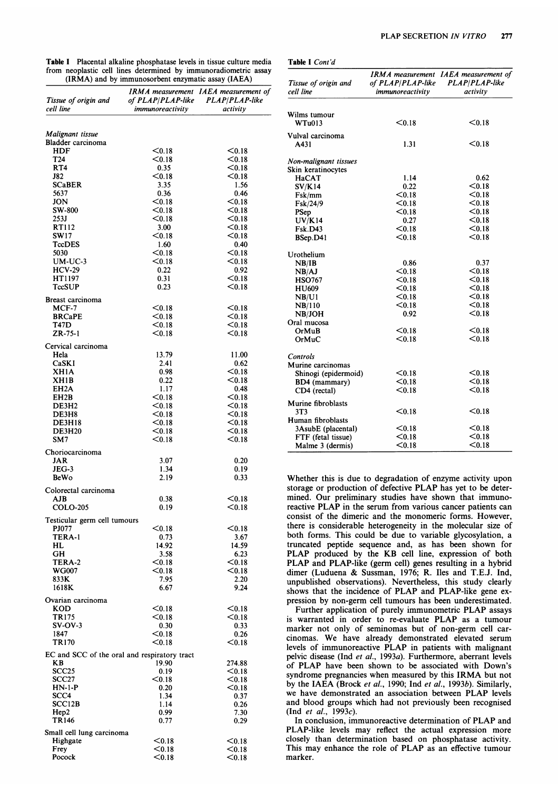Table <sup>I</sup> Placental alkaline phosphatase levels in tissue culture media from neoplastic cell lines determined by immunoradiometric assay (IRMA) and by immunosorbent enzymatic assay (IAEA)

|                                                    |                                                      | <b>IRMA</b> measurement IAEA measurement of |
|----------------------------------------------------|------------------------------------------------------|---------------------------------------------|
| Tissue of origin and<br>cell line                  | of PLAP/PLAP-like PLAP/PLAP-like<br>immunoreactivity | activity                                    |
|                                                    |                                                      |                                             |
| Malignant tissue                                   |                                                      |                                             |
| Bladder carcinoma                                  |                                                      |                                             |
| HDF<br>T24                                         | $0.18$<br>< 0.18                                     | $0.18$<br>$0.18$                            |
| RT <sub>4</sub>                                    | 0.35                                                 | $0.18$                                      |
| J82                                                | $0.18$                                               | $0.18$                                      |
| <b>SCaBER</b><br>5637                              | 3.35                                                 | 1.56                                        |
| JON                                                | 0.36<br>$0.18$                                       | 0.46<br>$0.18$                              |
| <b>SW-800</b>                                      | $0.18$                                               | $0.18$                                      |
| 253J                                               | $0.18$                                               | $0.18$                                      |
| RT112<br><b>SW17</b>                               | 3.00<br>$0.18$                                       | $0.18$<br>$0.18$                            |
| TccDES                                             | 1.60                                                 | 0.40                                        |
| 5030                                               | $0.18$                                               | $0.18$                                      |
| $UM-UC-3$<br><b>HCV-29</b>                         | $0.18$<br>0.22                                       | < 0.18                                      |
| HT1197                                             | 0.31                                                 | 0.92<br>$0.18$                              |
| <b>TccSUP</b>                                      | 0.23                                                 | $0.18$                                      |
| Breast carcinoma                                   |                                                      |                                             |
| MCF-7                                              | $0.18$                                               | $0.18$                                      |
| <b>BRCaPE</b><br>T47D                              | < 0.18<br>< 0.18                                     | $0.18$<br>< 0.18                            |
| ZR-75-1                                            | < 0.18                                               | $0.18$                                      |
| Cervical carcinoma                                 |                                                      |                                             |
| Hela                                               | 13.79                                                | 11.00                                       |
| CaSKI                                              | 2.41                                                 | 0.62                                        |
| XHIA<br>XHIB                                       | 0.98<br>0.22                                         | $0.18$<br>$0.18$                            |
| EH <sub>2</sub> A                                  | 1.17                                                 | 0.48                                        |
| EH <sub>2</sub> B                                  | $0.18$                                               | $0.18$                                      |
| DE3H <sub>2</sub><br>DE3H8                         | $0.18$<br>< 0.18                                     | $0.18$<br>$0.18$                            |
| DE3H18                                             | $0.18$                                               | $0.18$                                      |
| DE3H20                                             | $0.18$                                               | $0.18$                                      |
| SM7                                                | $0.18$                                               | $0.18$                                      |
| Choriocarcinoma<br>JAR                             |                                                      | 0.20                                        |
| JEG-3                                              | 3.07<br>1.34                                         | 0.19                                        |
| BeWo                                               | 2.19                                                 | 0.33                                        |
| Colorectal carcinoma                               |                                                      |                                             |
| <b>AJB</b>                                         | 0.38                                                 | $0.18$                                      |
| <b>COLO-205</b>                                    | 0.19                                                 | $0.18$                                      |
| Testicular germ cell tumours<br><b>PJ077</b>       | $0.18$                                               | $0.18$                                      |
| TERA-1                                             | 0.73                                                 | 3.67                                        |
| HL                                                 | 14.92                                                | 14.59                                       |
| GH<br>TERA-2                                       | 3.58<br>$0.18$                                       | 6.23<br>$0.18$                              |
| <b>WG007</b>                                       | $0.18$                                               | $0.18$                                      |
| 833K                                               | 7.95                                                 | 2.20                                        |
| 1618K                                              | 6.67                                                 | 9.24                                        |
| Ovarian carcinoma<br>KOD                           | $0.18$                                               | $0.18$                                      |
| TR175                                              | $0.18$                                               | $0.18$                                      |
| $SV-OV-3$                                          | 0.30                                                 | 0.33                                        |
| 1847<br>TR170                                      | $0.18$<br>< 0.18                                     | 0.26                                        |
|                                                    |                                                      | $0.18$                                      |
| EC and SCC of the oral and respiratory tract<br>ΚB | 19.90                                                | 274.88                                      |
| SCC <sub>25</sub>                                  | 0.19                                                 | $0.18$                                      |
| SCC27                                              | $0.18$                                               | $0.18$                                      |
| $HN-1-P$<br>SCC4                                   | 0.20<br>1.34                                         | $0.18$<br>0.37                              |
| SCC12B                                             | 1.14                                                 | 0.26                                        |
| Hep2<br>TR146                                      | 0.99<br>0.77                                         | 7.30                                        |
|                                                    |                                                      | 0.29                                        |
| Small cell lung carcinoma<br>Highgate              | < 0.18                                               | < 0.18                                      |
| Frey                                               | $0.18$                                               | $0.18$                                      |
| Pocock                                             | < 0.18                                               | $0.18$                                      |

| Table I Cont'd                    |                                                           |                                                          |  |
|-----------------------------------|-----------------------------------------------------------|----------------------------------------------------------|--|
| Tissue of origin and<br>cell line | IRMA measurement<br>of PLAP/PLAP-like<br>immunoreactivity | <b>IAEA</b> measurement of<br>PLAP/PLAP-like<br>activity |  |
|                                   |                                                           |                                                          |  |
| Wilms tumour<br><b>WTu013</b>     | < 0.18                                                    | $0.18$                                                   |  |
| Vulval carcinoma<br>A431          | 1.31                                                      | $0.18$                                                   |  |
| Non-malignant tissues             |                                                           |                                                          |  |
| Skin keratinocytes                |                                                           |                                                          |  |
| HaCAT                             | 1.14                                                      | 0.62                                                     |  |
| SV/K14                            | 0.22                                                      | $0.18$                                                   |  |
| $F$ sk/mm                         | $0.18$                                                    | $0.18$                                                   |  |
| $F$ sk/24/9                       | $0.18$                                                    | < 0.18                                                   |  |
| PSep                              | $0.18$                                                    | < 0.18                                                   |  |
| UV/K14                            | 0.27                                                      | $0.18$                                                   |  |
| Fsk.D43                           | $<$ 0.18                                                  | $0.18$                                                   |  |
| BSep.D41                          | $0.18$                                                    | $0.18$                                                   |  |
| Urothelium                        |                                                           |                                                          |  |
| NB/IB                             | 0.86                                                      | 0.37                                                     |  |
| NB/AJ                             | $0.18$                                                    | $0.18$                                                   |  |
| <b>HSO767</b>                     | $0.18$                                                    | $<$ 0.18                                                 |  |
| <b>HU609</b>                      | $<$ 0.18                                                  | $0.18$                                                   |  |
| NB/U1                             | $0.18$                                                    | $0.18$                                                   |  |
| NB/110                            | $0.18$                                                    | $0.18$                                                   |  |
| NB/JOH                            | 0.92                                                      | $<$ 0.18                                                 |  |
| Oral mucosa                       |                                                           |                                                          |  |
| OrMuB                             | < 0.18                                                    | $0.18$                                                   |  |
| OrMuC                             | $0.18$                                                    | $0.18$                                                   |  |
| Controls                          |                                                           |                                                          |  |
| Murine carcinomas                 |                                                           |                                                          |  |
| Shinogi (epidermoid)              | $0.18$                                                    | $0.18$                                                   |  |
| BD4 (mammary)                     | < 0.18                                                    | $<$ 0.18                                                 |  |
| CD4 (rectal)                      | $<$ 0.18                                                  | $0.18$                                                   |  |
| Murine fibroblasts                |                                                           |                                                          |  |
| 3T3<br>Human fibroblasts          | $0.18$                                                    | $0.18$                                                   |  |
| 3AsubE (placental)                | $0.18$                                                    | $0.18$                                                   |  |
| FTF (fetal tissue)                | $0.18$                                                    | $<$ 0.18                                                 |  |
| Malme 3 (dermis)                  | $0.18$                                                    | $<$ 0.18                                                 |  |
|                                   |                                                           |                                                          |  |

Whether this is due to degradation of enzyme activity upon storage or production of defective PLAP has yet to be determined. Our preliminary studies have shown that immunoreactive PLAP in the serum from various cancer patients can consist of the dimeric and the monomeric forms. However, there is considerable heterogeneity in the molecular size of both forms. This could be due to variable glycosylation, a truncated peptide sequence and, as has been shown for PLAP produced by the KB cell line, expression of both PLAP and PLAP-like (germ cell) genes resulting in a hybrid dimer (Luduena & Sussman, 1976; R. Iles and T.E.J. Ind, unpublished observations). Nevertheless, this study clearly shows that the incidence of PLAP and PLAP-like gene expression by non-germ cell tumours has been underestimated.

Further application of purely immunometric PLAP assays is warranted in order to re-evaluate PLAP as a tumour marker not only of seminomas but of non-germ cell carcinomas. We have already demonstrated elevated serum levels of immunoreactive PLAP in patients with malignant pelvic disease (Ind et al., 1993a). Furthermore, aberrant levels of PLAP have been shown to be associated with Down's syndrome pregnancies when measured by this IRMA but not by the IAEA (Brock et al., 1990; Ind et al., 1993b). Similarly, we have demonstrated an association between PLAP levels and blood groups which had not previously been recognised (Ind et al., 1993c).

In conclusion, immunoreactive determination of PLAP and PLAP-like levels may reflect the actual expression more closely than determination based on phosphatase activity. This may enhance the role of PLAP as an effective tumour marker.